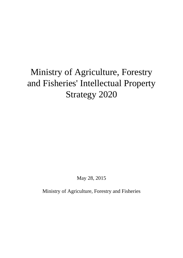# Ministry of Agriculture, Forestry and Fisheries' Intellectual Property Strategy 2020

May 28, 2015

Ministry of Agriculture, Forestry and Fisheries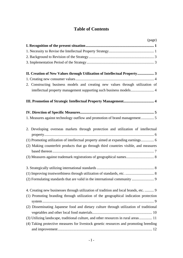# **Table of Contents**

| (page)                                                                                 |
|----------------------------------------------------------------------------------------|
|                                                                                        |
|                                                                                        |
|                                                                                        |
|                                                                                        |
|                                                                                        |
| II. Creation of New Values through Utilization of Intellectual Property 3              |
|                                                                                        |
| 2. Constructing business models and creating new values through utilization of         |
| intellectual property management supporting such business models 4                     |
|                                                                                        |
|                                                                                        |
|                                                                                        |
|                                                                                        |
|                                                                                        |
| 1. Measures against technology outflow and promotion of brand management 5             |
|                                                                                        |
| 2. Developing overseas markets through protection and utilization of intellectual      |
|                                                                                        |
| (1) Promoting utilization of intellectual property aimed at expanding earnings 6       |
| (2) Making counterfeit products that go through third countries visible, and measures  |
|                                                                                        |
| (3) Measures against trademark registrations of geographical names 8                   |
|                                                                                        |
|                                                                                        |
| (1) Improving trustworthiness through utilization of standards, etc.  8                |
|                                                                                        |
|                                                                                        |
| 4. Creating new businesses through utilization of tradition and local brands, etc.  9  |
| (1) Promoting branding through utilization of the geographical indication protection   |
|                                                                                        |
| (2) Disseminating Japanese food and dietary culture through utilization of traditional |
|                                                                                        |
| (3) Utilizing landscape, traditional culture, and other resources in rural areas 11    |
| (4) Taking protective measures for livestock genetic resources and promoting breeding  |
|                                                                                        |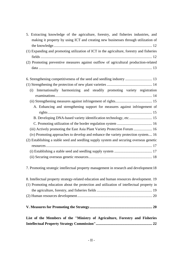| 5. Extracting knowledge of the agriculture, forestry, and fisheries industries, and<br>making it property by using ICT and creating new businesses through utilization of<br>(1) Expanding and promoting utilization of ICT in the agriculture, forestry and fisheries |
|------------------------------------------------------------------------------------------------------------------------------------------------------------------------------------------------------------------------------------------------------------------------|
|                                                                                                                                                                                                                                                                        |
| (2) Promoting preventive measures against outflow of agricultural production-related                                                                                                                                                                                   |
|                                                                                                                                                                                                                                                                        |
|                                                                                                                                                                                                                                                                        |
| 6. Strengthening competitiveness of the seed and seedling industry  13                                                                                                                                                                                                 |
|                                                                                                                                                                                                                                                                        |
| (i) Internationally harmonizing and steadily promoting variety registration                                                                                                                                                                                            |
|                                                                                                                                                                                                                                                                        |
|                                                                                                                                                                                                                                                                        |
| A. Enhancing and strengthening support for measures against infringement of                                                                                                                                                                                            |
|                                                                                                                                                                                                                                                                        |
| B. Developing DNA-based variety identification technology, etc 15                                                                                                                                                                                                      |
|                                                                                                                                                                                                                                                                        |
| (iii) Actively promoting the East Asia Plant Variety Protection Forum  16                                                                                                                                                                                              |
| (iv) Promoting approaches to develop and enhance the variety protection system 16                                                                                                                                                                                      |
| (2) Establishing a stable seed and seedling supply system and securing overseas genetic                                                                                                                                                                                |
|                                                                                                                                                                                                                                                                        |
|                                                                                                                                                                                                                                                                        |
|                                                                                                                                                                                                                                                                        |
|                                                                                                                                                                                                                                                                        |
| 7. Promoting strategic intellectual property management in research and development 18                                                                                                                                                                                 |
| 8. Intellectual property strategy-related education and human resources development. 19                                                                                                                                                                                |
| (1) Promoting education about the protection and utilization of intellectual property in                                                                                                                                                                               |
|                                                                                                                                                                                                                                                                        |
|                                                                                                                                                                                                                                                                        |
|                                                                                                                                                                                                                                                                        |
|                                                                                                                                                                                                                                                                        |
| List of the Members of the "Ministry of Agriculture, Forestry and Fisheries                                                                                                                                                                                            |
|                                                                                                                                                                                                                                                                        |
|                                                                                                                                                                                                                                                                        |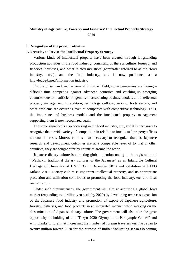# **Ministry of Agriculture, Forestry and Fisheries' Intellectual Property Strategy 2020**

### **I. Recognition of the present situation**

### **1. Necessity to Revise the Intellectual Property Strategy**

Various kinds of intellectual property have been created through longstanding production activities in the food industry, consisting of the agriculture, forestry, and fisheries industries, and other related industries (hereinafter referred to as the "food industry, etc."), and the food industry, etc. is now positioned as a knowledge-based/information industry.

On the other hand, in the general industrial field, some companies are having a difficult time competing against advanced countries and catching-up emerging countries due to insufficient ingenuity in associating business models and intellectual property management. In addition, technology outflow, leaks of trade secrets, and other problems are occurring even at companies with competitive technology. Thus, the importance of business models and the intellectual property management supporting them is now recognized again.

The same situation is also occurring in the food industry, etc., and it is necessary to recognize that a wide variety of competition in relation to intellectual property affects national interests. Moreover, it is also necessary to recognize that, as Japanese research and development outcomes are at a comparable level of to that of other countries, they are sought after by countries around the world.

Japanese dietary culture is attracting global attention owing to the registration of "Washoku, traditional dietary cultures of the Japanese" as an Intangible Cultural Heritage of Humanity of UNESCO in December 2013 and exhibition at EXPO Milano 2015. Dietary culture is important intellectual property, and its appropriate protection and utilization contributes to promoting the food industry, etc. and local revitalization.

Under such circumstances, the government will aim at acquiring a global food market (expanding to a trillion yen scale by 2020) by developing overseas expansion of the Japanese food industry and promotion of export of Japanese agriculture, forestry, fisheries, and food products in an integrated manner while working on the dissemination of Japanese dietary culture. The government will also take the great opportunity of holding of the "Tokyo 2020 Olympic and Paralympic Games" and will, thanks to it, aim at increasing the number of foreign travelers visiting Japan to twenty million toward 2020 for the purpose of further facilitating Japan's becoming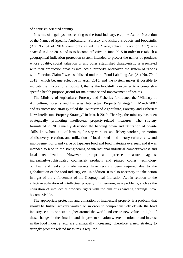of a tourism-oriented country.

In terms of legal systems relating to the food industry, etc., the Act on Protection of the Names of Specific Agricultural, Forestry and Fishery Products and Foodstuffs (Act No. 84 of 2014; commonly called the "Geographical Indication Act") was enacted in June 2014 and is to become effective in June 2015 in order to establish a geographical indication protection system intended to protect the names of products whose quality, social valuation or any other established characteristic is associated with their production areas as intellectual property. Moreover, the system of "Foods with Function Claims" was established under the Food Labelling Act (Act No. 70 of 2013), which became effective in April 2015, and the system makes it possible to indicate the function of a foodstuff, that is, the foodstuff is expected to accomplish a specific health purpose (useful for maintenance and improvement of health).

The Ministry of Agriculture, Forestry and Fisheries formulated the "Ministry of Agriculture, Forestry and Fisheries' Intellectual Property Strategy" in March 2007 and its succession strategy titled the "Ministry of Agriculture, Forestry and Fisheries' New Intellectual Property Strategy" in March 2010. Thereby, the ministry has been strategically promoting intellectual property-related measures. The strategy formulated in 2010 mainly described the handing down and utilization of on-site skills, know-how, etc. of farmers, forestry workers, and fishery workers, promotion of discovery, creation, and utilization of local brands and dietary culture, etc., and improvement of brand value of Japanese food and food materials overseas, and it was intended to lead to the strengthening of international industrial competitiveness and local revitalization. However, prompt and precise measures against increasingly-sophisticated counterfeit products and pirated copies, technology outflow, and leaks of trade secrets have recently been required due to the globalization of the food industry, etc. In addition, it is also necessary to take action in light of the enforcement of the Geographical Indication Act in relation to the effective utilization of intellectual property. Furthermore, new problems, such as the utilization of intellectual property rights with the aim of expanding earnings, have become visible.

The appropriate protection and utilization of intellectual property is a problem that should be further actively worked on in order to comprehensively elevate the food industry, etc. to one step higher around the world and create new values in light of these changes in the situation and the present situation where attention to and interest in the food industry, etc. are dramatically increasing. Therefore, a new strategy to strongly promote related measures is required.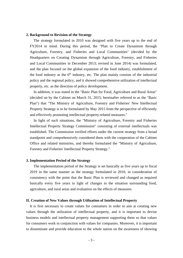### **2. Background to Revision of the Strategy**

The strategy formulated in 2010 was designed with five years up to the end of FY2014 in mind. During this period, the "Plan to Create Dynamism through Agriculture, Forestry, and Fisheries and Local Communities" (decided by the Headquarters on Creating Dynamism through Agriculture, Forestry, and Fisheries and Local Communities in December 2013; revised in June 2014) was formulated, and the plan focused on the global expansion of the food industry, establishment of the food industry as the  $6<sup>th</sup>$  industry, etc. The plan mainly consists of the industrial policy and the regional policy, and it showed comprehensive utilization of intellectual property, etc. as the direction of policy development.

In addition, it was stated in the "Basic Plan for Food, Agriculture and Rural Areas" (decided on by the Cabinet on March 31, 2015; hereinafter referred to as the "Basic Plan") that "The Ministry of Agriculture, Forestry and Fisheries' New Intellectual Property Strategy is to be formulated by May 2015 from the perspective of efficiently and effectively promoting intellectual property-related measures."

In light of such situations, the "Ministry of Agriculture, Forestry and Fisheries Intellectual Property Strategy Commission" consisting of external intellectuals was established. The Commission verified efforts under the current strategy from a broad standpoint and comprehensively considered them with the cooperation of the Cabinet Office and related ministries, and thereby formulated the "Ministry of Agriculture, Forestry and Fisheries' Intellectual Property Strategy."

### **3. Implementation Period of the Strategy**

The implementation period of the Strategy is set basically as five years up to fiscal 2019 in the same manner as the strategy formulated in 2010, in consideration of consistency with the point that the Basic Plan is reviewed and changed as required basically every five years in light of changes in the situation surrounding food, agriculture, and rural areas and evaluation on the effects of measures.

### **II. Creation of New Values through Utilization of Intellectual Property**

It is first necessary to create values for consumers in order to aim at creating new values through the utilization of intellectual property, and it is important to devise business models and intellectual property management supporting them so that values for consumers work in conjunction with values for companies. Moreover, it is important to disseminate and provide education to the whole nation on the awareness of showing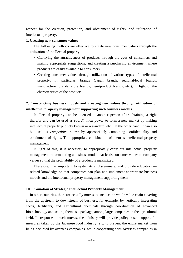respect for the creation, protection, and obtainment of rights, and utilization of intellectual property.

### **1. Creating new consumer values**

The following methods are effective to create new consumer values through the utilization of intellectual property.

- Clarifying the attractiveness of products through the eyes of consumers and making appropriate suggestions, and creating a purchasing environment where products are easily available to consumers
- Creating consumer values through utilization of various types of intellectual property, in particular, brands (Japan brands, regional/local brands, manufacturer brands, store brands, item/product brands, etc.), in light of the characteristics of the products

# **2. Constructing business models and creating new values through utilization of intellectual property management supporting such business models**

Intellectual property can be licensed to another person after obtaining a right therefor and can be used as *coordination power* to form a new market by making intellectual property publicly known or a standard, etc. On the other hand, it can also be used as *competitive power* by appropriately combining confidentiality and obtainment of rights. The appropriate combination of them is intellectual property management.

In light of this, it is necessary to appropriately carry out intellectual property management in formulating a business model that leads consumer values to company values so that the profitability of a product is maximized.

Therefore, it is important to systematize, disseminate, and provide education on related knowledge so that companies can plan and implement appropriate business models and the intellectual property management supporting them.

### **III. Promotion of Strategic Intellectual Property Management**

In other countries, there are actually moves to enclose the whole value chain covering from the upstream to downstream of business, for example, by vertically integrating seeds, fertilizers, and agricultural chemicals through coordination of advanced biotechnology and selling them as a package, among large companies in the agricultural field. In response to such moves, the ministry will provide policy-based support for measures taken by the Japanese food industry, etc. to prevent the entire market from being occupied by overseas companies, while cooperating with overseas companies in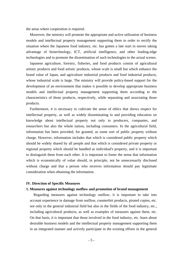the areas where cooperation is required.

Moreover, the ministry will promote the appropriate and active utilization of business models and intellectual property management supporting them in order to rectify the situation where the Japanese food industry, etc. has gotten a late start in moves taking advantage of biotechnology, ICT, artificial intelligence, and other leading-edge technologies and to promote the dissemination of such technologies to the actual scenes.

Japanese agriculture, forestry, fisheries, and food products consist of agricultural artistic products and food artistic products, whose scale is small but which enhance the brand value of Japan, and agriculture industrial products and food industrial products, whose industrial scale is large. The ministry will provide policy-based support for the development of an environment that makes it possible to develop appropriate business models and intellectual property management supporting them according to the characteristics of those products, respectively, while separating and associating those products.

Furthermore, it is necessary to cultivate the sense of ethics that shows respect for intellectual property, as well as widely disseminating to and providing education on knowledge about intellectual property not only to producers, companies, and researchers but also the whole nation, including consumers. In the agricultural field, information has been provided, for granted, as some sort of public property without charge. However, information includes that which is considered public property which should be widely shared by all people and that which is considered private property or regional property which should be handled as individual's property, and it is important to distinguish them from each other. It is important to foster the sense that information which is economically of value should, in principle, not be unnecessarily disclosed without charge and that a person who receives information should pay legitimate consideration when obtaining the information.

### **IV. Direction of Specific Measures**

### **1. Measures against technology outflow and promotion of brand management**

Regarding measures against technology outflow, it is important to take into account experience in damage from outflow, counterfeit products, pirated copies, etc. not only in the general industrial field but also in the fields of the food industry, etc., including agricultural products, as well as examples of measures against them, etc. On that basis, it is important that those involved in the food industry, etc. learn about desirable business models and the intellectual property management supporting them in an integrated manner and actively participate in the existing efforts in the general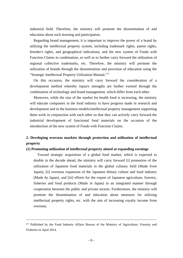industrial field. Therefore, the ministry will promote the dissemination of and education about such learning and participation.

Regarding brand management, it is important to improve the power of a brand by utilizing the intellectual property system, including trademark rights, patent rights, breeder's rights, and geographical indications, and the new system of Foods with Function Claims in combination, as well as to further carry forward the utilization of regional collective trademarks, etc. Therefore, the ministry will promote the utilization of brands through the dissemination and provision of education using the "Strategic Intellectual Property Utilization Manual."\*1

On this occasion, the ministry will carry forward the consideration of a development method whereby Japan's strengths are further exerted through the combination of technology and brand management, which differ from each other.

Moreover, while the size of the market for health food is increasing, the ministry will educate companies in the food industry to have progress made in research and development and in the business models/intellectual property management supporting them work in conjunction with each other so that they can actively carry forward the industrial development of functional food materials on the occasion of the introduction of the new system of Foods with Function Claims.

# **2. Developing overseas markets through protection and utilization of intellectual property**

### **(1) Promoting utilization of intellectual property aimed at expanding earnings**

Toward strategic acquisition of a global food market, which is expected to double in the decade ahead, the ministry will carry forward [i] promotion of the utilization of Japanese food materials in the global culinary field (Made f*rom* Japan), [ii] overseas expansion of the Japanese dietary culture and food industry (Made *by* Japan), and [iii] efforts for the export of Japanese agriculture, forestry, fisheries and food products (Made *in* Japan) in an integrated manner through cooperation between the public and private sectors. Furthermore, the ministry will promote the dissemination of and education about measures for utilizing intellectual property rights, etc. with the aim of increasing royalty income from overseas.

1

<sup>\*&</sup>lt;sup>1</sup> Published by the Food Industry Affairs Bureau of the Ministry of Agriculture, Forestry and Fisheries in April 2014.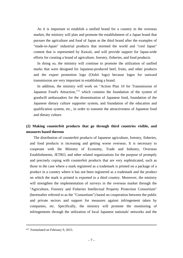As it is important to establish a unified brand for a country in the overseas market, the ministry will plan and promote the establishment of a Japan brand that pursues the agriculture and food of Japan as the third brand after the examples of "made-in-Japan" industrial products that stormed the world and "cool Japan" content that is represented by Kawaii, and will provide support for Japan-wide efforts for creating a brand of agriculture, forestry, fisheries, and food products.

In doing so, the ministry will continue to promote the utilization of unified marks that were designed for Japanese-produced beef, fruits, and other products and the export promotion logo (Oishii logo) because logos for outward transmission are very important in establishing a brand.

In addition, the ministry will work on "Action Plan 10 for Transmission of Japanese Food's Attraction,"\*2 which contains the foundation of the system of goodwill ambassadors for the dissemination of Japanese food, foundation of the Japanese dietary culture supporter system, and foundation of the education and qualification system, etc., in order to transmit the attractiveness of Japanese food and dietary culture.

# **(2) Making counterfeit products that go through third countries visible, and measures based thereon**

The distribution of counterfeit products of Japanese agriculture, forestry, fisheries, and food products is increasing and getting worse overseas. It is necessary to cooperate with the Ministry of Economy, Trade and Industry, Overseas Establishments, JETRO, and other related organizations for the purpose of promptly and precisely coping with counterfeit products that are very sophisticated, such as those in the case where a mark registered as a trademark is printed on a package of a product in a country where it has not been registered as a trademark and the product on which the mark is printed is exported to a third country. Moreover, the ministry will strengthen the implementation of surveys in the overseas market through the "Agriculture, Forestry and Fisheries Intellectual Property Protection Consortium" (hereinafter referred to as the "Consortium") based on cooperation between the public and private sectors and support for measures against infringement taken by companies, etc. Specifically, the ministry will promote the monitoring of infringements through the utilization of local Japanese nationals' networks and the

1

<sup>\*2</sup> Formulated on February 9, 2015.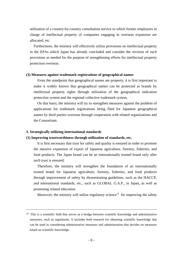utilization of a country-by-country consultation service to which former employees in charge of intellectual property of companies engaging in overseas expansion are allocated, etc.

Furthermore, the ministry will effectively utilize provisions on intellectual property in the EPAs which Japan has already concluded and consider the revision of such provisions as needed for the purpose of strengthening efforts for intellectual property protection overseas.

### **(3) Measures against trademark registrations of geographical names**

From the standpoint that geographical names are property, it is first important to make it widely known that geographical names can be protected as brands by intellectual property rights through utilization of the geographical indication protection system and the regional collective trademark system.

On that basis, the ministry will try to strengthen measures against the problem of applications for trademark registrations being filed for Japanese geographical names by third parties overseas through cooperation with related organizations and the Consortium.

### **3. Strategically utilizing international standards**

1

### **(1) Improving trustworthiness through utilization of standards, etc.**

It is first necessary that trust for safety and quality is ensured in order to promote the massive expansion of export of Japanese agriculture, forestry, fisheries, and food products. The Japan brand can be an internationally trusted brand only after such trust is ensured.

Therefore, the ministry will strengthen the foundation of an internationally trusted brand for Japanese agriculture, forestry, fisheries, and food products through improvement of safety by disseminating guidelines, such as the HACCP, and international standards, etc., such as GLOBAL G.A.P., in Japan, as well as promoting related education.

Moreover, the ministry will utilize regulatory science<sup> $*3$ </sup> for improving the safety

<sup>\*&</sup>lt;sup>3</sup> This is a scientific field that serves as a bridge between scientific knowledge and administrative measures, such as regulations. It includes both research for obtaining scientific knowledge that can be used in considering administrative measures and administration that decides on measures based on scientific knowledge.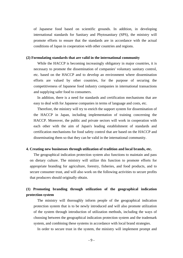of Japanese food based on scientific grounds. In addition, in developing international standards for Sanitary and Phytosanitary (SPS), the ministry will promote efforts to ensure that the standards are in accordance with the actual conditions of Japan in cooperation with other countries and regions.

#### **(2) Formulating standards that are valid in the international community**

While the HACCP is becoming increasingly obligatory in major countries, it is necessary to promote the dissemination of companies' voluntary sanitary control, etc. based on the HACCP and to develop an environment where dissemination efforts are valued by other countries, for the purpose of securing the competitiveness of Japanese food industry companies in international transactions and supplying safer food to consumers.

In addition, there is a need for standards and certification mechanisms that are easy to deal with for Japanese companies in terms of language and costs, etc.

Therefore, the ministry will try to enrich the support system for dissemination of the HACCP in Japan, including implementation of training concerning the HACCP. Moreover, the public and private sectors will work in cooperation with each other with the aim of Japan's leading establishment of standards and certification mechanisms for food safety control that are based on the HACCP and disseminating them so that they can be valid in the international community.

### **4. Creating new businesses through utilization of tradition and local brands, etc.**

The geographical indication protection system also functions to maintain and pass on dietary culture. The ministry will utilize this function to promote efforts for appropriate branding for agriculture, forestry, fisheries, and food products, and to secure consumer trust, and will also work on the following activities to secure profits that producers should originally obtain.

# **(1) Promoting branding through utilization of the geographical indication protection system**

The ministry will thoroughly inform people of the geographical indication protection system that is to be newly introduced and will also promote utilization of the system through introduction of utilization methods, including the ways of choosing between the geographical indication protection system and the trademark system, and combining these systems in accordance with local brand strategies.

In order to secure trust in the system, the ministry will implement prompt and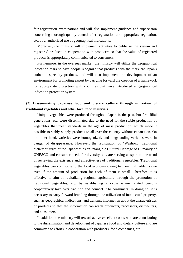fair registration examinations and will also implement guidance and supervision concerning thorough quality control after registration and appropriate regulation, etc. of unauthorized use of geographical indications.

Moreover, the ministry will implement activities to publicize the system and registered products in cooperation with producers so that the value of registered products is appropriately communicated to consumers.

Furthermore, in the overseas market, the ministry will utilize the geographical indication mark to have people recognize that products with the mark are Japan's authentic specialty products, and will also implement the development of an environment for promoting export by carrying forward the creation of a framework for appropriate protection with countries that have introduced a geographical indication protection system.

# **(2) Disseminating Japanese food and dietary culture through utilization of traditional vegetables and other local food materials**

Unique vegetables were produced throughout Japan in the past, but first filial generations, etc. were disseminated due to the need for the stable production of vegetables that meet standards in the age of mass production, which made it possible to stably supply products to all over the country without exhaustion. On the other hand, varieties were homogenized, and longstanding varieties were in danger of disappearance. However, the registration of "Washoku, traditional dietary cultures of the Japanese" as an Intangible Cultural Heritage of Humanity of UNESCO and consumer needs for diversity, etc. are serving as spurs to the trend of reviewing the existence and attractiveness of traditional vegetables. Traditional vegetables can contribute to the local economy owing to their high added value even if the amount of production for each of them is small. Therefore, it is effective to aim at revitalizing regional agriculture through the promotion of traditional vegetables, etc. by establishing a cycle where related persons cooperatively take over tradition and connect it to consumers. In doing so, it is necessary to carry forward branding through the utilization of intellectual property, such as geographical indications, and transmit information about the characteristics of products so that the information can reach producers, processors, distributers, and consumers.

In addition, the ministry will reward active excellent cooks who are contributing to the dissemination and development of Japanese food and dietary culture and are committed to efforts in cooperation with producers, food companies, etc.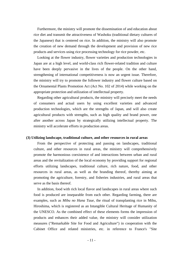Furthermore, the ministry will promote the dissemination of and education about rice diet and transmit the attractiveness of Washoku (traditional dietary cultures of the Japanese) that is centered on rice. In addition, the ministry will also promote the creation of new demand through the development and provision of new rice products and services using rice processing technology for rice powder, etc.

Looking at the flower industry, flower varieties and production technologies in Japan are at a high level, and world-class rich flower-related tradition and culture have been deeply pervasive in the lives of the people. On the other hand, strengthening of international competitiveness is now an urgent issue. Therefore, the ministry will try to promote the follower industry and flower culture based on the Ornamental Plants Promotion Act (Act No. 102 of 2014) while working on the appropriate protection and utilization of intellectual property.

Regarding other agricultural products, the ministry will precisely meet the needs of consumers and actual users by using excellent varieties and advanced production technologies, which are the strengths of Japan, and will also create agricultural products with strengths, such as high quality and brand power, one after another across Japan by strategically utilizing intellectual property. The ministry will accelerate efforts in production areas.

#### **(3) Utilizing landscape, traditional culture, and other resources in rural areas**

From the perspective of protecting and passing on landscapes, traditional culture, and other resources in rural areas, the ministry will comprehensively promote the harmonious coexistence of and interactions between urban and rural areas and the revitalization of the local economy by providing support for regional efforts utilizing landscapes, traditional culture, rich nature, food, and other resources in rural areas, as well as the branding thereof, thereby aiming at promoting the agriculture, forestry, and fisheries industries, and rural areas that serve as the basis thereof.

In addition, food with rich local flavor and landscapes in rural areas where such food is produced are inseparable from each other. Regarding farming, there are examples, such as *Mibu no Hana Taue*, the ritual of transplanting rice in Mibu, Hiroshima, which is registered as an Intangible Cultural Heritage of Humanity of the UNESCO. As the combined effect of these elements forms the impression of products and enhances their added value, the ministry will consider utilization measures ("Remarkable Site for Food and Agriculture") in cooperation with the Cabinet Office and related ministries, etc. in reference to France's "Site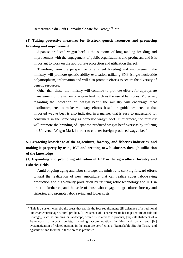Remarquable du Goût (Remarkable Site for Taste),"\*4 etc.

# **(4) Taking protective measures for livestock genetic resources and promoting breeding and improvement**

Japanese-produced wagyu beef is the outcome of longstanding breeding and improvement with the engagement of public organizations and producers, and it is important to work on the appropriate protection and utilization thereof.

Therefore, from the perspective of efficient breeding and improvement, the ministry will promote genetic ability evaluation utilizing SNP (single nucleotide polymorphism) information and will also promote efforts to secure the diversity of genetic resources.

Other than these, the ministry will continue to promote efforts for appropriate management of the semen of wagyu beef, such as the use of bar codes. Moreover, regarding the indication of "wagyu beef," the ministry will encourage meat distributors, etc. to make voluntary efforts based on guidelines, etc. so that imported wagyu beef is also indicated in a manner that is easy to understand for consumers in the same way as domestic wagyu beef. Furthermore, the ministry will promote the branding of Japanese-produced wagyu beef overseas by utilizing the Universal Wagyu Mark in order to counter foreign-produced wagyu beef.

# **5. Extracting knowledge of the agriculture, forestry, and fisheries industries, and making it property by using ICT and creating new businesses through utilization of the knowledge**

# **(1) Expanding and promoting utilization of ICT in the agriculture, forestry and fisheries fields**

Amid ongoing aging and labor shortage, the ministry is carrying forward efforts toward the realization of new agriculture that can realize super labor-saving production and high-quality production by utilizing robot technology and ICT in order to further expand the scale of those who engage in agriculture, forestry and fisheries, and promote labor saving and lower costs.

1

<sup>\*&</sup>lt;sup>4</sup> This is a system whereby the areas that satisfy the four requirements ([i] existence of a traditional and characteristic agricultural product, [ii] existence of a characteristic heritage (nature or cultural heritage), such as building or landscape, which is related to a product, [iii] establishment of a framework to accept tourists, including accommodation facilities and paths, and [iv] systematization of related persons in the area) are certified as a "Remarkable Site for Taste," and agriculture and tourism in those areas is promoted.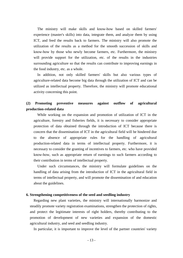The ministry will make skills and know-how based on skilled farmers' experience (master's skills) into data, integrate them, and analyze them by using ICT, and feed the results back to farmers. The ministry will also promote the utilization of the results as a method for the smooth succession of skills and know-how by those who newly become farmers, etc. Furthermore, the ministry will provide support for the utilization, etc. of the results in the industries surrounding agriculture so that the results can contribute to improving earnings in the food industry, etc. as a whole.

In addition, not only skilled farmers' skills but also various types of agriculture-related data become big data through the utilization of ICT and can be utilized as intellectual property. Therefore, the ministry will promote educational activity concerning this point.

# **(2) Promoting preventive measures against outflow of agricultural production-related data**

While working on the expansion and promotion of utilization of ICT in the agriculture, forestry and fisheries fields, it is necessary to consider appropriate protection of data obtained through the introduction of ICT because there is concern that the dissemination of ICT in the agricultural field will be hindered due to the absence of appropriate rules for the handling of agricultural production-related data in terms of intellectual property. Furthermore, it is necessary to consider the granting of incentives to farmers, etc. who have provided know-how, such as appropriate return of earnings to such farmers according to their contribution in terms of intellectual property.

Under such circumstances, the ministry will formulate guidelines on the handling of data arising from the introduction of ICT in the agricultural field in terms of intellectual property, and will promote the dissemination of and education about the guidelines.

### **6. Strengthening competitiveness of the seed and seedling industry**

Regarding new plant varieties, the ministry will internationally harmonize and steadily promote variety registration examinations, strengthen the protection of rights, and protect the legitimate interests of right holders, thereby contributing to the promotion of development of new varieties and expansion of the domestic agricultural industry, and seed and seedling industry.

In particular, it is important to improve the level of the partner countries' variety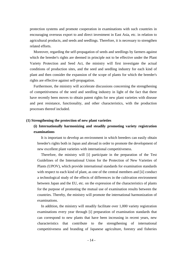protection systems and promote cooperation in examinations with such countries in encouraging overseas export to and direct investment in East Asia, etc. in relation to agricultural products, and seeds and seedlings. Therefore, it is necessary to strengthen related efforts.

Moreover, regarding the self-propagation of seeds and seedlings by farmers against which the breeder's rights are deemed in principle not to be effective under the Plant Variety Protection and Seed Act, the ministry will first investigate the actual conditions of production sites, and the seed and seedling industry for each kind of plant and then consider the expansion of the scope of plants for which the breeder's rights are effective against self-propagation.

Furthermore, the ministry will accelerate discussions concerning the strengthening of competitiveness of the seed and seedling industry in light of the fact that there have recently been moves to obtain patent rights for new plant varieties with disease and pest resistance, functionality, and other characteristics, with the production processes thereof included.

### **(1) Strengthening the protection of new plant varieties**

# **(i) Internationally harmonizing and steadily promoting variety registration examinations**

It is important to develop an environment in which breeders can easily obtain breeder's rights both in Japan and abroad in order to promote the development of new excellent plant varieties with international competitiveness.

Therefore, the ministry will [i] participate in the preparation of the Test Guidelines of the International Union for the Protection of New Varieties of Plants (UPOV), which provide international standards for examination standards with respect to each kind of plant, as one of the central members and [ii] conduct a technological study of the effects of differences in the cultivation environment between Japan and the EU, etc. on the expression of the characteristics of plants for the purpose of promoting the mutual use of examination results between the countries. Thereby, the ministry will promote the international harmonization of examinations.

In addition, the ministry will steadily facilitate over 1,000 variety registration examinations every year through [i] preparation of examination standards that can correspond to new plants that have been increasing in recent years, new characteristics that contribute to the strengthening of international competitiveness and branding of Japanese agriculture, forestry and fisheries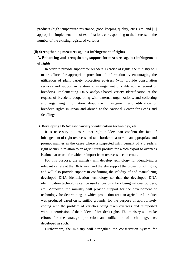products (high temperature resistance, good keeping quality, etc.), etc. and [ii] appropriate implementation of examinations corresponding to the increase in the number of the existing registered varieties.

### **(ii) Strengthening measures against infringement of rights**

# **A. Enhancing and strengthening support for measures against infringement of rights**

In order to provide support for breeders' exercise of rights, the ministry will make efforts for appropriate provision of information by encouraging the utilization of plant variety protection advisers (who provide consultation services and support in relation to infringement of rights at the request of breeders), implementing DNA analysis-based variety identification at the request of breeders, cooperating with external organizations, and collecting and organizing information about the infringement, and utilization of breeder's rights in Japan and abroad at the National Center for Seeds and Seedlings.

### **B. Developing DNA-based variety identification technology, etc.**

It is necessary to ensure that right holders can confirm the fact of infringement of right overseas and take border measures in an appropriate and prompt manner in the cases where a suspected infringement of a breeder's right occurs in relation to an agricultural product for which export to overseas is aimed at or one for which reimport from overseas is concerned.

For this purpose, the ministry will develop technology for identifying a relevant variety at the DNA level and thereby support the protection of rights, and will also provide support in confirming the validity of and manualizing developed DNA identification technology so that the developed DNA identification technology can be used at customs for closing national borders, etc. Moreover, the ministry will provide support for the development of technology for determining in which production area an agricultural product was produced based on scientific grounds, for the purpose of appropriately coping with the problem of varieties being taken overseas and reimported without permission of the holders of breeder's rights. The ministry will make efforts for the strategic protection and utilization of technology, etc. developed as such.

Furthermore, the ministry will strengthen the conservation system for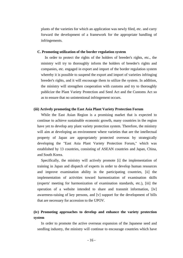plants of the varieties for which an application was newly filed, etc. and carry forward the development of a framework for the appropriate handling of infringements.

### **C. Promoting utilization of the border regulation system**

In order to protect the rights of the holders of breeder's rights, etc., the ministry will try to thoroughly inform the holders of breeder's rights and companies, etc. engaged in export and import of the border regulation system whereby it is possible to suspend the export and import of varieties infringing breeder's rights, and it will encourage them to utilize the system. In addition, the ministry will strengthen cooperation with customs and try to thoroughly publicize the Plant Variety Protection and Seed Act and the Customs Act so as to ensure that no unintentional infringement occurs.

### **(iii) Actively promoting the East Asia Plant Variety Protection Forum**

While the East Asian Region is a promising market that is expected to continue to achieve sustainable economic growth, many countries in the region have yet to develop any plant variety protection system. Therefore, the ministry will aim at developing an environment where varieties that are the intellectual property of Japan are appropriately protected overseas by strategically developing the "East Asia Plant Variety Protection Forum," which was established by 13 countries, consisting of ASEAN countries and Japan, China, and South Korea.

Specifically, the ministry will actively promote [i] the implementation of training in Japan and dispatch of experts in order to develop human resources and improve examination ability in the participating countries, [ii] the implementation of activities toward harmonization of examination skills (experts' meeting for harmonization of examination standards, etc.), [iii] the operation of a website intended to share and transmit information, [iv] awareness-raising of key persons, and [v] support for the development of bills that are necessary for accession to the UPOV.

# **(iv) Promoting approaches to develop and enhance the variety protection system**

In order to promote the active overseas expansion of the Japanese seed and seedling industry, the ministry will continue to encourage countries which have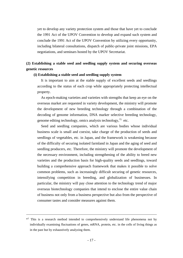yet to develop any variety protection system and those that have yet to conclude the 1991 Act of the UPOV Convention to develop and expand such system and conclude the 1991 Act of the UPOV Convention by utilizing every opportunity, including bilateral consultations, dispatch of public-private joint missions, EPA negotiations, and seminars hosted by the UPOV Secretariat.

# **(2) Establishing a stable seed and seedling supply system and securing overseas genetic resources**

### **(i) Establishing a stable seed and seedling supply system**

It is important to aim at the stable supply of excellent seeds and seedlings according to the status of each crop while appropriately protecting intellectual property.

As epoch-making varieties and varieties with strengths that keep an eye on the overseas market are requested in variety development, the ministry will promote the development of new breeding technology through a combination of the decoding of genome information, DNA marker selective breeding technology, genome editing technology, omics analysis technology,\*5 etc.

Seed and seedling companies, which are various bodies whose individual business scale is small and coexist, take charge of the production of seeds and seedlings of vegetables, etc. in Japan, and the framework is weakening because of the difficulty of securing isolated farmland in Japan and the aging of seed and seedling producers, etc. Therefore, the ministry will promote the development of the necessary environment, including strengthening of the ability to breed new varieties and the production basis for high-quality seeds and seedlings, toward building a comprehensive approach framework that makes it possible to solve common problems, such as increasingly difficult securing of genetic resources, intensifying competition in breeding, and globalization of businesses. In particular, the ministry will pay close attention to the technology trend of major overseas biotechnology companies that intend to enclose the entire value chain of business not only from a business perspective but also from the perspective of consumer tastes and consider measures against them.

<u>.</u>

<sup>\*&</sup>lt;sup>5</sup> This is a research method intended to comprehensively understand life phenomena not by individually examining fluctuations of genes, mRNA, protein, etc. in the cells of living things as in the past but by exhaustively analyzing them.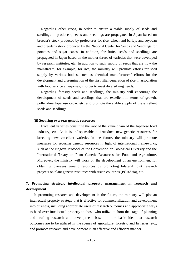Regarding other crops, in order to ensure a stable supply of seeds and seedlings to producers, seeds and seedlings are propagated in Japan based on breeder's stock produced by prefectures for rice, wheat and barley, and soybean and breeder's stock produced by the National Center for Seeds and Seedlings for potatoes and sugar canes. In addition, for fruits, seeds and seedlings are propagated in Japan based on the mother threes of varieties that were developed by research institutes, etc. In addition to such supply of seeds that are now the mainstream, for example, for rice, the ministry will promote efforts for seed supply by various bodies, such as chemical manufacturers' efforts for the development and dissemination of the first filial generation of rice in association with food service enterprises, in order to meet diversifying needs.

Regarding forestry seeds and seedlings, the ministry will encourage the development of seeds and seedlings that are excellent in terms of growth, pollen-free Japanese cedar, etc. and promote the stable supply of the excellent seeds and seedlings.

### **(ii) Securing overseas genetic resources**

Excellent varieties constitute the root of the value chain of the Japanese food industry, etc. As it is indispensable to introduce new genetic resources for breeding new excellent varieties in the future, the ministry will promote measures for securing genetic resources in light of international frameworks, such as the Nagoya Protocol of the Convention on Biological Diversity and the International Treaty on Plant Genetic Resources for Food and Agriculture. Moreover, the ministry will work on the development of an environment for obtaining overseas genetic resources by promoting bilateral joint research projects on plant genetic resources with Asian countries (PGRAsia), etc.

# **7. Promoting strategic intellectual property management in research and development**

In promoting research and development in the future, the ministry will plot an intellectual property strategy that is effective for commercialization and development into business, including appropriate users of research outcomes and appropriate ways to hand over intellectual property to those who utilize it, from the stage of planning and drafting research and development based on the basic idea that research outcomes are to be utilized in the scenes of agriculture, forestry, and fisheries, etc., and promote research and development in an effective and efficient manner.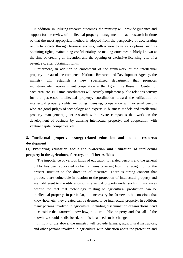In addition, in utilizing research outcomes, the ministry will provide guidance and support for the review of intellectual property management at each research institute so that the most appropriate method is adopted from the perspective of accelerating return to society through business success, with a view to various options, such as obtaining rights, maintaining confidentiality, or making outcomes publicly known at the time of creating an invention and the opening or exclusive licensing, etc. of a patent, etc. after obtaining rights.

Furthermore, in addition to enrichment of the framework of the intellectual property bureau of the competent National Research and Development Agency, the ministry will establish a new specialized department that promotes industry-academia-government cooperation at the Agriculture Research Center for each area, etc. Full-time coordinators will actively implement public relations activity for the possessed intellectual property, coordination toward the utilization of intellectual property rights, including licensing, cooperation with external persons who are good judges of technology and experts in business models and intellectual property management, joint research with private companies that work on the development of business by utilizing intellectual property, and cooperation with venture capital companies, etc.

# **8. Intellectual property strategy-related education and human resources development**

# **(1) Promoting education about the protection and utilization of intellectual property in the agriculture, forestry, and fisheries fields**

The importance of various kinds of education to related persons and the general public has been advocated so far for items covering from the recognition of the present situation to the direction of measures. There is strong concern that producers are vulnerable in relation to the protection of intellectual property and are indifferent to the utilization of intellectual property under such circumstances despite the fact that technology relating to agricultural production can be intellectual property. In particular, it is necessary for farmers to be conscious that know-how, etc. they created can be deemed to be intellectual property. In addition, many persons involved in agriculture, including dissemination organizations, tend to consider that farmers' know-how, etc. are public property and that all of the knowhow should be disclosed, but this idea needs to be changed.

In light of the above, the ministry will provide farmers, agricultural instructors, and other persons involved in agriculture with education about the protection and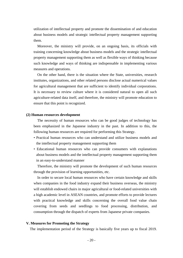utilization of intellectual property and promote the dissemination of and education about business models and strategic intellectual property management supporting them.

Moreover, the ministry will provide, on an ongoing basis, its officials with training concerning knowledge about business models and the strategic intellectual property management supporting them as well as flexible ways of thinking because such knowledge and ways of thinking are indispensable in implementing various measures and operations.

On the other hand, there is the situation where the State, universities, research institutes, organizations, and other related persons disclose actual numerical values for agricultural management that are sufficient to identify individual corporations. It is necessary to review culture where it is considered natural to open all such agriculture-related data itself, and therefore, the ministry will promote education to ensure that this point is recognized.

### **(2) Human resources development**

The necessity of human resources who can be good judges of technology has been emphasized in the Japanese industry in the past. In addition to this, the following human resources are required for performing this Strategy.

- Practical human resources who can understand and utilize business models and the intellectual property management supporting them
- Educational human resources who can provide consumers with explanations about business models and the intellectual property management supporting them in an easy-to-understand manner

Therefore, the ministry will promote the development of such human resources through the provision of learning opportunities, etc.

In order to secure local human resources who have certain knowledge and skills when companies in the food industry expand their business overseas, the ministry will establish endowed chairs in major agricultural or food-related universities with a high academic level in ASEAN countries, and promote efforts to provide lectures with practical knowledge and skills concerning the overall food value chain covering from seeds and seedlings to food processing, distribution, and consumption through the dispatch of experts from Japanese private companies.

### **V. Measures for Promoting the Strategy**

The implementation period of the Strategy is basically five years up to fiscal 2019.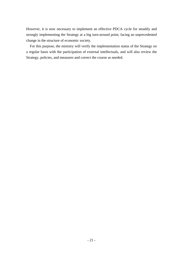However, it is now necessary to implement an effective PDCA cycle for steadily and strongly implementing the Strategy at a big turn-around point, facing an unprecedented change in the structure of economic society.

For this purpose, the ministry will verify the implementation status of the Strategy on a regular basis with the participation of external intellectuals, and will also review the Strategy, policies, and measures and correct the course as needed.